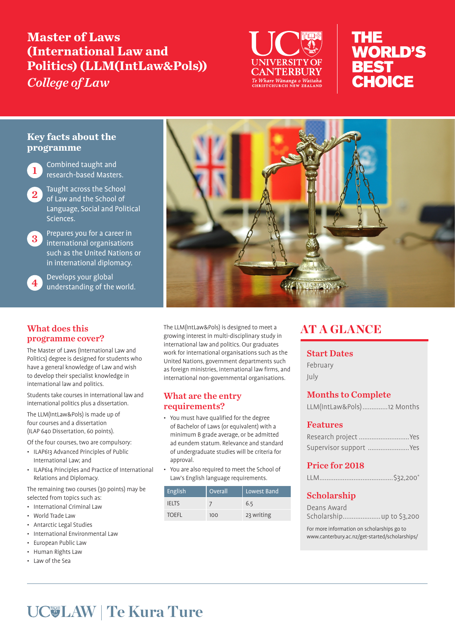# **Master of Laws (International Law and Politics) (LLM(IntLaw&Pols))**  *College of Law*



# THE **WORLD'S BEST** CHOICE

# **Key facts about the programme**

**1** Combined taught and<br>**1** research-based Masters.

2 Taught across the School of Law and the School of Language, Social and Political Sciences.

3 Prepares you for a career in international organisations such as the United Nations or in international diplomacy.

> Develops your global understanding of the world.

## What does this programme cover?

The Master of Laws (International Law and Politics) degree is designed for students who have a general knowledge of Law and wish to develop their specialist knowledge in international law and politics.

Students take courses in international law and international politics plus a dissertation.

The LLM(IntLaw&Pols) is made up of four courses and a dissertation (ILAP 640 Dissertation, 60 points).

Of the four courses, two are compulsory:

- ILAP613 Advanced Principles of Public International Law; and
- ILAP614 Principles and Practice of International Relations and Diplomacy.

The remaining two courses (30 points) may be selected from topics such as:

- International Criminal Law
- World Trade Law
- Antarctic Legal Studies
- International Environmental Law
- European Public Law
- Human Rights Law
- Law of the Sea



The LLM(IntLaw&Pols) is designed to meet a growing interest in multi-disciplinary study in international law and politics. Our graduates work for international organisations such as the United Nations, government departments such as foreign ministries, international law firms, and international non-governmental organisations.

### What are the entry requirements?

- You must have qualified for the degree of Bachelor of Laws (or equivalent) with a minimum B grade average, or be admitted ad eundem statum. Relevance and standard of undergraduate studies will be criteria for approval.
- You are also required to meet the School of Law's English language requirements.

| English      | Overall | Lowest Band |
|--------------|---------|-------------|
| <b>IFITS</b> |         | 6.5         |
| <b>TOEFL</b> | 100     | 23 writing  |

# AT A GLANCE

#### Start Dates

February July

# Months to Complete

## Features

| Research project  Yes  |  |
|------------------------|--|
| Supervisor support Yes |  |

# Price for 2018

|--|

# Scholarship

| Deans Award               |  |
|---------------------------|--|
| Scholarship up to \$3,200 |  |

For more information on scholarships go to www.canterbury.ac.nz/get-started/scholarships/

# **LAW | Te Kura Ture**